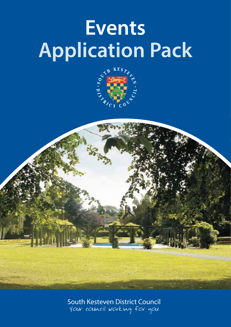# **Events Application Pack**





South Kesteven District Council Your council working for you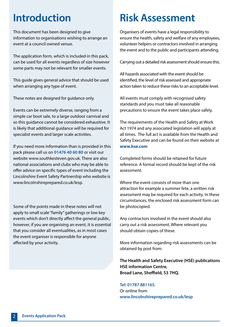# **Introduction**

This document has been designed to give information to organisations wishing to arrange an event at a council owned venue.

The application form, which is included in this pack, can be used for all events regardless of size however some parts may not be relevant for smaller events.

This guide gives general advice that should be used when arranging any type of event.

These notes are designed for guidance only.

Events can be extremely diverse, ranging from a simple car boot sale, to a large outdoor carnival and so this guidance cannot be considered exhaustive. It is likely that additional guidance will be required for specialist events and larger scale activities.

If you need more information than is provided in this pack please call us on **01476 40 60 80** or visit our website www.southkesteven.gov.uk. There are also national associations and clubs who may be able to offer advice on specific types of event including the Lincolnshire Event Safety Partnership who website is www.lincolnshireprepared.co.uk/lesp.

Some of the points made in these notes will not apply to small scale "family" gatherings or low key events which don't directly affect the general public, however, if you are organising an event, it is essential that you consider all eventualities, as in most cases the event organiser is responsible for anyone affected by your activity.

# **Risk Assessment**

Organisers of events have a legal responsibility to ensure the health, safety and welfare of any employees, volunteer helpers or contractors involved in arranging the event and to the public and participants attending.

Carrying out a detailed risk assessment should ensure this.

All hazards associated with the event should be identified, the level of risk assessed and appropriate action taken to reduce these risks to an acceptable level.

All events must comply with recognised safety standards and you must take all reasonable precautions to ensure the event takes place safely.

The requirements of the Health and Safety at Work Act 1974 and any associated legislation will apply at all times. The full act is available from the Health and Safety Executive and can be found on their website at **www.hse.com**

Completed forms should be retained for future reference. A formal record should be kept of the risk assessment.

Where the event consists of more than one attraction for example a summer fete, a written risk assessment may be required for each activity. In these circumstances, the enclosed risk assessment form can be photocopied.

Any contractors involved in the event should also carry out a risk assessment. Where relevant you should obtain copies of these.

More information regarding risk assessments can be obtained by post from:

**The Health and Safety Executive (HSE) publications HSE information Centre, Broad Lane, Sheffield, S3 7HQ.**

**Tel: 01787 881165.**  Or online from **www.lincolnshireprepared.co.uk/lesp**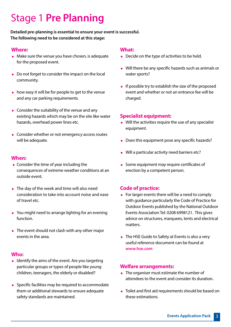# Stage 1 **Pre Planning**

# **Detailed pre-planning is essential to ensure your event is successful. The following need to be considered at this stage:**

#### **Where:**

- Make sure the venue you have chosen, is adequate for the proposed event.
- Do not forget to consider the impact on the local community.
- how easy it will be for people to get to the venue and any car parking requirements.
- Consider the suitability of the venue and any existing hazards which may be on the site like water hazards, overhead power lines etc.
- Consider whether or not emergency access routes will be adequate.

#### **When:**

- Consider the time of year including the consequences of extreme weather conditions at an outside event.
- The day of the week and time will also need consideration to take into account noise and ease of travel etc.
- You might need to arrange lighting for an evening function.
- The event should not clash with any other major events in the area.

#### **Who:**

- $\bullet$  Identify the aims of the event. Are you targeting particular groups or types of people like young children, teenagers, the elderly or disabled?
- Specific facilities may be required to accommodate them or additional stewards to ensure adequate safety standards are maintained.

#### **What:**

- Decide on the type of activities to be held.
- Will there be any specific hazards such as animals or water sports?
- $\bullet$  If possible try to establish the size of the proposed event and whether or not an entrance fee will be charged.

# **Specialist equipment:**

- Will the activities require the use of any specialist equipment.
- Does this equipment pose any specific hazards?
- Will a particular activity need barriers etc?
- Some equipment may require certificates of erection by a competent person.

# **Code of practice:**

- For larger events there will be a need to comply with guidance particularly the Code of Practice for Outdoor Events published by the National Outdoor Events Association Tel: 0208 6998121. This gives advice on structures, marquees, tents and electrical matters.
- The HSE Guide to Safety at Events is also a very useful reference document can be found at **www.hse.com**

# **Welfare arrangements:**

- The organiser must estimate the number of attendees to the event and consider its duration.
- Toilet and first aid requirements should be based on these estimations.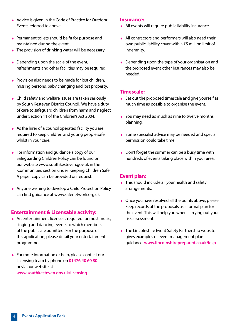- Advice is given in the Code of Practice for Outdoor Events referred to above.
- Permanent toilets should be fit for purpose and maintained during the event.
- The provision of drinking water will be necessary.
- Depending upon the scale of the event, refreshments and other facilities may be required.
- **Provision also needs to be made for lost children.** missing persons, baby changing and lost property.
- Child safety and welfare issues are taken seriously by South Kesteven District Council. We have a duty of care to safeguard children from harm and neglect under Section 11 of the Children's Act 2004.
- As the hirer of a council operated facility you are required to keep children and young people safe whilst in your care.
- For information and guidance a copy of our Safeguarding Children Policy can be found on our website www.southkesteven.gov.uk in the 'Communities' section under 'Keeping Children Safe'. A paper copy can be provided on request.
- Anyone wishing to develop a Child Protection Policy can find guidance at www.safenetwork.org.uk

#### **Entertainment & Licensable activity:**

- An entertainment licence is required for most music, singing and dancing events to which members of the public are admitted. For the purpose of this application, please detail your entertainment programme.
- For more information or help, please contact our Licensing team by phone on **01476 40 60 80** or via our website at **www.southkesteven.gov.uk/licensing**

#### **Insurance:**

- All events will require public liability insurance.
- All contractors and performers will also need their own public liability cover with a £5 million limit of indemnity.
- Depending upon the type of your organisation and the proposed event other insurances may also be needed.

#### **Timescale:**

- Set out the proposed timescale and give yourself as much time as possible to organise the event.
- You may need as much as nine to twelve months planning.
- Some specialist advice may be needed and special permission could take time.
- Don't forget the summer can be a busy time with hundreds of events taking place within your area.

#### **Event plan:**

- This should include all your health and safety arrangements.
- Once you have resolved all the points above, please keep records of the proposals as a formal plan for the event. This will help you when carrying out your risk assessment.
- The Lincolnshire Event Safety Partnership website gives examples of event management plan guidance. **www.lincolnshireprepared.co.uk/lesp**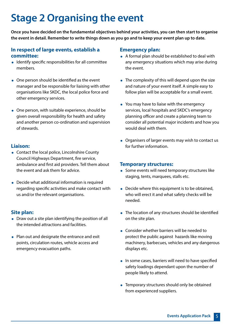# **Stage 2 Organising the event**

**Once you have decided on the fundamental objectives behind your activities, you can then start to organise the event in detail. Remember to write things down as you go and to keep your event plan up to date.**

# **In respect of large events, establish a committee:**

- Identify specific responsibilities for all committee members.
- One person should be identified as the event manager and be responsible for liaising with other organisations like SKDC, the local police force and other emergency services.
- One person, with suitable experience, should be given overall responsibility for health and safety and another person co-ordination and supervision of stewards.

# **Liaison:**

- Contact the local police, Lincolnshire County Council Highways Department, fire service, ambulance and first aid providers. Tell them about the event and ask them for advice.
- Decide what additional information is required regarding specific activities and make contact with us and/or the relevant organisations.

# **Site plan:**

- Draw out a site plan identifying the position of all the intended attractions and facilities.
- Plan out and designate the entrance and exit points, circulation routes, vehicle access and emergency evacuation paths.

### **Emergency plan:**

- A formal plan should be established to deal with any emergency situations which may arise during the event.
- The complexity of this will depend upon the size and nature of your event itself. A simple easy to follow plan will be acceptable for a small event.
- You may have to liaise with the emergency services, local hospitals and SKDC's emergency planning officer and create a planning team to consider all potential major incidents and how you would deal with them.
- Organisers of larger events may wish to contact us for further information.

#### **Temporary structures:**

- Some events will need temporary structures like staging, tents, marquees, stalls etc.
- Decide where this equipment is to be obtained, who will erect it and what safety checks will be needed.
- The location of any structures should be identified on the site plan.
- Consider whether barriers will be needed to protect the public against hazards like moving machinery, barbecues, vehicles and any dangerous displays etc.
- In some cases, barriers will need to have specified safety loadings dependant upon the number of people likely to attend.
- Temporary structures should only be obtained from experienced suppliers.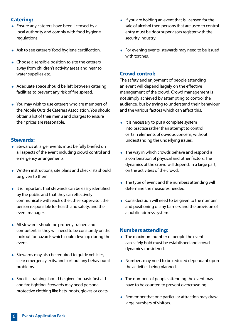# **Catering:**

- **Ensure any caterers have been licensed by a** local authority and comply with food hygiene regulations.
- Ask to see caterers' food hygiene certification.
- Choose a sensible position to site the caterers away from children's activity areas and near to water supplies etc.
- Adequate space should be left between catering facilities to prevent any risk of fire spread.
- You may wish to use caterers who are members of the Mobile Outside Caterers Association. You should obtain a list of their menu and charges to ensure their prices are reasonable.

# **Stewards:**

- Stewards at larger events must be fully briefed on all aspects of the event including crowd control and emergency arrangements.
- Written instructions, site plans and checklists should be given to them.
- $\bullet$  It is important that stewards can be easily identified by the public and that they can effectively communicate with each other, their supervisor, the person responsible for health and safety, and the event manager.
- All stewards should be properly trained and competent as they will need to be constantly on the lookout for hazards which could develop during the event.
- Stewards may also be required to quide vehicles, clear emergency exits, and sort out any behavioural problems.
- Specific training should be given for basic first aid and fire fighting. Stewards may need personal protective clothing like hats, boots, gloves or coats.
- $\bullet$  If you are holding an event that is licensed for the sale of alcohol then persons that are used to control entry must be door supervisors register with the security industry.
- For evening events, stewards may need to be issued with torches.

# **Crowd control:**

The safety and enjoyment of people attending an event will depend largely on the effective management of the crowd. Crowd management is not simply achieved by attempting to control the audience, but by trying to understand their behaviour and the various factors which can affect this.

- $\bullet$  It is necessary to put a complete system into practice rather than attempt to control certain elements of obvious concern, without understanding the underlying issues.
- The way in which crowds behave and respond is a combination of physical and other factors. The dynamics of the crowd will depend, in a large part, on the activities of the crowd.
- The type of event and the numbers attending will determine the measures needed.
- Consideration will need to be given to the number and positioning of any barriers and the provision of a public address system.

# **Numbers attending:**

- The maximum number of people the event can safely hold must be established and crowd dynamics considered.
- Numbers may need to be reduced dependant upon the activities being planned.
- The numbers of people attending the event may have to be counted to prevent overcrowding.
- Remember that one particular attraction may draw large numbers of visitors.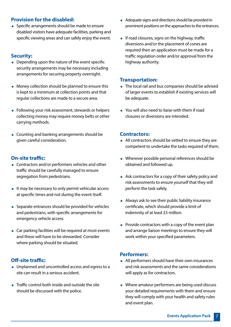# **Provision for the disabled:**

• Specific arrangements should be made to ensure disabled visitors have adequate facilities, parking and specific viewing areas and can safely enjoy the event.

# **Security:**

- Depending upon the nature of the event specific security arrangements may be necessary including arrangements for securing property overnight.
- Money collection should be planned to ensure this is kept to a minimum at collection points and that regular collections are made to a secure area.
- Following your risk assessment, stewards or helpers collecting money may require money belts or other carrying methods.
- Counting and banking arrangements should be given careful consideration.

# **On-site traffic:**

- Contractors and/or performers vehicles and other traffic should be carefully managed to ensure segregation from pedestrians.
- It may be necessary to only permit vehicular access at specific times and not during the event itself.
- Separate entrances should be provided for vehicles and pedestrians, with specific arrangements for emergency vehicle access.
- Car parking facilities will be required at most events and these will have to be stewarded. Consider where parking should be situated.

# **Off-site traffic:**

- Unplanned and uncontrolled access and egress to a site can result in a serious accident.
- **Traffic control both inside and outside the site** should be discussed with the police.
- Adequate signs and directions should be provided in prominent positions on the approaches to the entrances.
- $\bullet$  If road closures, signs on the highway, traffic diversions and/or the placement of cones are required then an application must be made for a traffic regulation order and/or approval from the highway authority.

### **Transportation:**

- The local rail and bus companies should be advised of larger events to establish if existing services will be adequate.
- You will also need to liaise with them if road closures or diversions are intended.

# **Contractors:**

- All contractors should be vetted to ensure they are competent to undertake the tasks required of them.
- Wherever possible personal references should be obtained and followed up.
- Ask contractors for a copy of their safety policy and risk assessments to ensure yourself that they will perform the task safely.
- Always ask to see their public liability insurance certificate, which should provide a limit of indemnity of at least £5 million.
- Provide contractors with a copy of the event plan and arrange liaison meetings to ensure they will work within your specified parameters.

# **Performers:**

- All performers should have their own insurances and risk assessments and the same considerations will apply as for contractors.
- Where amateur performers are being used discuss your detailed requirements with them and ensure they will comply with your health and safety rules and event plan.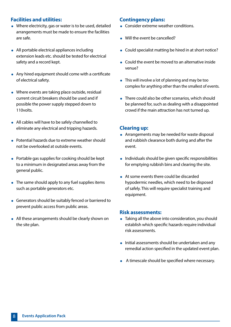# **Facilities and utilities:**

- Where electricity, gas or water is to be used, detailed arrangements must be made to ensure the facilities are safe.
- All portable electrical appliances including extension leads etc. should be tested for electrical safety and a record kept.
- Any hired equipment should come with a certificate of electrical safety.
- Where events are taking place outside, residual current circuit breakers should be used and if possible the power supply stepped down to 110volts.
- All cables will have to be safely channelled to eliminate any electrical and tripping hazards.
- Potential hazards due to extreme weather should not be overlooked at outside events.
- Portable gas supplies for cooking should be kept to a minimum in designated areas away from the general public.
- The same should apply to any fuel supplies items such as portable generators etc.
- Generators should be suitably fenced or barriered to prevent public access from public areas.
- All these arrangements should be clearly shown on the site plan.

#### **Contingency plans:**

- **Consider extreme weather conditions.**
- Will the event be cancelled?
- Could specialist matting be hired in at short notice?
- Could the event be moved to an alternative inside venue?
- This will involve a lot of planning and may be too complex for anything other than the smallest of events.
- There could also be other scenarios, which should be planned for, such as dealing with a disappointed crowd if the main attraction has not turned up.

#### **Clearing up:**

- Arrangements may be needed for waste disposal and rubbish clearance both during and after the event.
- Individuals should be given specific responsibilities for emptying rubbish bins and clearing the site.
- At some events there could be discarded hypodermic needles, which need to be disposed of safely. This will require specialist training and equipment.

#### **Risk assessments:**

- Taking all the above into consideration, you should establish which specific hazards require individual risk assessments.
- Initial assessments should be undertaken and any remedial action specified in the updated event plan.
- A timescale should be specified where necessary.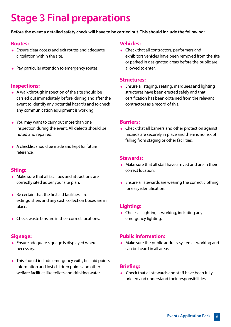# **Stage 3 Final preparations**

#### **Before the event a detailed safety check will have to be carried out. This should include the following:**

# **Routes:**

- Ensure clear access and exit routes and adequate circulation within the site.
- Pay particular attention to emergency routes.

#### **Inspections:**

- A walk through inspection of the site should be carried out immediately before, during and after the event to identify any potential hazards and to check any communication equipment is working.
- You may want to carry out more than one inspection during the event. All defects should be noted and repaired.
- A checklist should be made and kept for future reference.

#### **Siting:**

- Make sure that all facilities and attractions are correctly sited as per your site plan.
- $\bullet$  Be certain that the first aid facilities, fire extinguishers and any cash collection boxes are in place.
- **Check waste bins are in their correct locations.**

#### **Signage:**

- **•** Ensure adequate signage is displayed where necessary.
- This should include emergency exits, first aid points, information and lost children points and other welfare facilities like toilets and drinking water.

#### **Vehicles:**

• Check that all contractors, performers and exhibitors vehicles have been removed from the site or parked in designated areas before the public are allowed to enter.

#### **Structures:**

 Ensure all staging, seating, marquees and lighting structures have been erected safely and that certification has been obtained from the relevant contractors as a record of this.

#### **Barriers:**

 Check that all barriers and other protection against hazards are securely in place and there is no risk of falling from staging or other facilities.

#### **Stewards:**

- Make sure that all staff have arrived and are in their correct location.
- **Ensure all stewards are wearing the correct clothing** for easy identification.

# **Lighting:**

• Check all lighting is working, including any emergency lighting.

#### **Public information:**

 Make sure the public address system is working and can be heard in all areas.

#### **Briefing:**

• Check that all stewards and staff have been fully briefed and understand their responsibilities.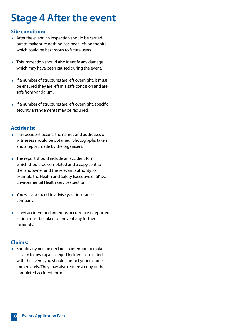# **Stage 4 After the event**

# **Site condition:**

- After the event, an inspection should be carried out to make sure nothing has been left on the site which could be hazardous to future users.
- This inspection should also identify any damage which may have been caused during the event.
- If a number of structures are left overnight, it must be ensured they are left in a safe condition and are safe from vandalism.
- $\bullet$  If a number of structures are left overnight, specific security arrangements may be required.

# **Accidents:**

- If an accident occurs, the names and addresses of witnesses should be obtained, photographs taken and a report made by the organisers.
- The report should include an accident form which should be completed and a copy sent to the landowner and the relevant authority for example the Health and Safety Executive or SKDC Environmental Health services section.
- You will also need to advise your insurance company.
- **If any accident or dangerous occurrence is reported** action must be taken to prevent any further incidents.

# **Claims:**

• Should any person declare an intention to make a claim following an alleged incident associated with the event, you should contact your insurers immediately. They may also require a copy of the completed accident form.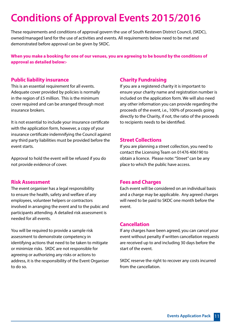# **Conditions of Approval Events 2015/2016**

These requirements and conditions of approval govern the use of South Kesteven District Council, (SKDC), owned/managed land for the use of activities and events. All requirements below need to be met and demonstrated before approval can be given by SKDC.

**When you make a booking for one of our venues, you are agreeing to be bound by the conditions of approval as detailed below:-**

# **Public liability insurance**

This is an essential requirement for all events. Adequate cover provided by policies is normally in the region of £5 million. This is the minimum cover required and can be arranged through most insurance brokers.

It is not essential to include your insurance certificate with the application form, however, a copy of your insurance certificate indemnifying the Council against any third party liabilities must be provided before the event starts.

Approval to hold the event will be refused if you do not provide evidence of cover.

#### **Risk Assessment**

The event organiser has a legal responsibility to ensure the health, safety and welfare of any employees, volunteer helpers or contractors involved in arranging the event and to the pubic and participants attending. A detailed risk assessment is needed for all events.

You will be required to provide a sample risk assessment to demonstrate competency in identifying actions that need to be taken to mitigate or minimize risks. SKDC are not responsible for agreeing or authorizing any risks or actions to address, it is the responsibility of the Event Organiser to do so.

#### **Charity Fundraising**

If you are a registered charity it is important to ensure your charity name and registration number is included on the application form. We will also need any other information you can provide regarding the proceeds of the event, i.e., 100% of proceeds going directly to the Charity, if not, the ratio of the proceeds to recipients needs to be identified.

### **Street Collections**

If you are planning a street collection, you need to contact the Licensing Team on 01476 406190 to obtain a licence. Please note: "Street" can be any place to which the public have access.

#### **Fees and Charges**

Each event will be considered on an individual basis and a charge may be applicable. Any agreed charges will need to be paid to SKDC one month before the event.

#### **Cancellation**

If any charges have been agreed, you can cancel your event without penalty if written cancellation requests are received up to and including 30 days before the start of the event.

SKDC reserve the right to recover any costs incurred from the cancellation.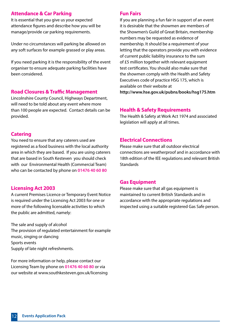# **Attendance & Car Parking**

It is essential that you give us your expected attendance figures and describe how you will be manage/provide car parking requirements.

Under no circumstances will parking be allowed on any soft surfaces for example grassed or play areas.

If you need parking it is the responsibility of the event organiser to ensure adequate parking facilities have been considered.

#### **Road Closures & Traffic Management**

Lincolnshire County Council, Highways Department, will need to be told about any event where more than 100 people are expected. Contact details can be provided.

# **Catering**

You need to ensure that any caterers used are registered as a food business with the local authority area in which they are based. If you are using caterers that are based in South Kesteven you should check with our Environmental Health (Commercial Team) who can be contacted by phone on **01476 40 60 80**

# **Licensing Act 2003**

A current Premises Licence or Temporary Event Notice is required under the Licensing Act 2003 for one or more of the following licensable activities to which the public are admitted, namely:

The sale and supply of alcohol The provision of regulated entertainment for example music, singing or dancing Sports events Supply of late night refreshments.

For more information or help, please contact our Licensing Team by phone on **01476 40 60 80** or via our website at www.southkesteven.gov.uk/licensing

# **Fun Fairs**

If you are planning a fun fair in support of an event it is desirable that the showmen are members of the Showmen's Guild of Great Britain, membership numbers may be requested as evidence of membership. It should be a requirement of your letting that the operators provide you with evidence of current public liability insurance to the sum of £5 million together with relevant equipment test certificates. You should also make sure that the showmen comply with the Health and Safety Executives code of practice HSG 175, which is available on their website at **http://www.hse.gov.uk/pubns/books/hsg175.htm**

# **Health & Safety Requirements**

The Health & Safety at Work Act 1974 and associated legislation will apply at all times.

# **Electrical Connections**

Please make sure that all outdoor electrical connections are weatherproof and in accordance with 18th edition of the IEE regulations and relevant British **Standards** 

# **Gas Equipment**

Please make sure that all gas equipment is maintained to current British Standards and in accordance with the appropriate regulations and inspected using a suitable registered Gas Safe person.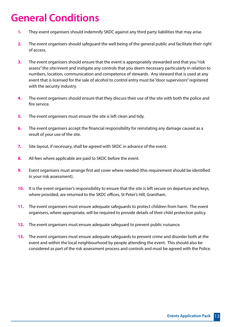# **General Conditions**

- **1.** They event organisers should indemnify SKDC against any third party liabilities that may arise.
- **2.** The event organisers should safeguard the well being of the general public and facilitate their right of access.
- **3.** The event organisers should ensure that the event is appropriately stewarded and that you "risk assess" the site/event and instigate any controls that you deem necessary particularly in relation to numbers, location, communication and competence of stewards. Any steward that is used at any event that is licensed for the sale of alcohol to control entry must be "door supervisors" registered with the security industry.
- **4.** The event organisers should ensure that they discuss their use of the site with both the police and fire service.
- **5.** The event organisers must ensure the site is left clean and tidy.
- **6.** The event organisers accept the financial responsibility for reinstating any damage caused as a result of your use of the site.
- **7.** Site layout, if necessary, shall be agreed with SKDC in advance of the event.
- **8.** All fees where applicable are paid to SKDC before the event.
- **9.** Event organisers must arrange first aid cover where needed (this requirement should be identified in your risk assessment).
- **10.** It is the event organiser's responsibility to ensure that the site is left secure on departure and keys, where provided, are returned to the SKDC offices, St Peter's Hill, Grantham.
- **11.** The event organisers must ensure adequate safeguards to protect children from harm. The event organisers, where appropriate, will be required to provide details of their child protection policy.
- **12.** The event organisers must ensure adequate safeguard to prevent public nuisance.
- **13.** The event organisers must ensure adequate safeguards to prevent crime and disorder both at the event and within the local neighbourhood by people attending the event. This should also be considered as part of the risk assessment process and controls and must be agreed with the Police.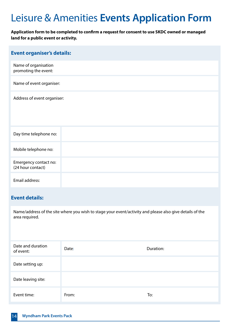# Leisure & Amenities **Events Application Form**

# **Application form to be completed to confirm a request for consent to use SKDC owned or managed land for a public event or activity.**

| <b>Event organiser's details:</b>            |  |
|----------------------------------------------|--|
| Name of organisation<br>promoting the event: |  |
| Name of event organiser:                     |  |
| Address of event organiser:                  |  |
| Day time telephone no:                       |  |
| Mobile telephone no:                         |  |
| Emergency contact no:<br>(24 hour contact)   |  |
| Email address:                               |  |

# **Event details:**

Name/address of the site where you wish to stage your event/activity and please also give details of the area required.

| Date and duration<br>of event: | Date: | Duration: |
|--------------------------------|-------|-----------|
| Date setting up:               |       |           |
| Date leaving site:             |       |           |
| Event time:                    | From: | To:       |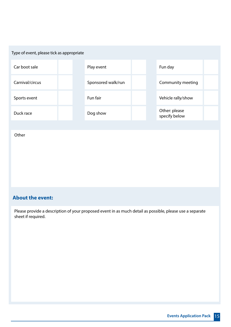| Type of event, please tick as appropriate |  |                    |  |  |                                |  |
|-------------------------------------------|--|--------------------|--|--|--------------------------------|--|
| Car boot sale                             |  | Play event         |  |  | Fun day                        |  |
| Carnival/circus                           |  | Sponsored walk/run |  |  | Community meeting              |  |
| Sports event                              |  | Fun fair           |  |  | Vehicle rally/show             |  |
| Duck race                                 |  | Dog show           |  |  | Other: please<br>specify below |  |
|                                           |  |                    |  |  |                                |  |
| Other                                     |  |                    |  |  |                                |  |
|                                           |  |                    |  |  |                                |  |

# **About the event:**

Please provide a description of your proposed event in as much detail as possible, please use a separate sheet if required.